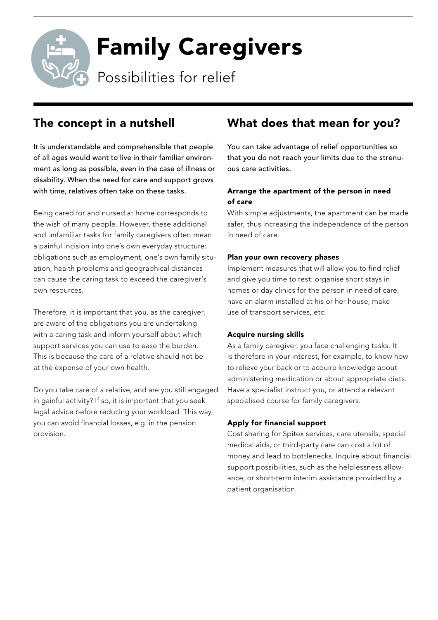Family Caregivers

Possibilities for relief

### The concept in a nutshell

It is understandable and comprehensible that people of all ages would want to live in their familiar environment as long as possible, even in the case of illness or disability. When the need for care and support grows with time, relatives often take on these tasks.

Being cared for and nursed at home corresponds to the wish of many people. However, these additional and unfamiliar tasks for family caregivers often mean a painful incision into one's own everyday structure: obligations such as employment, one's own family situation, health problems and geographical distances can cause the caring task to exceed the caregiver's own resources.

Therefore, it is important that you, as the caregiver, are aware of the obligations you are undertaking with a caring task and inform yourself about which support services you can use to ease the burden. This is because the care of a relative should not be at the expense of your own health.

Do you take care of a relative, and are you still engaged in gainful activity? If so, it is important that you seek legal advice before reducing your workload. This way, you can avoid financial losses, e.g. in the pension provision.

### What does that mean for you?

You can take advantage of relief opportunities so that you do not reach your limits due to the strenuous care activities.

### Arrange the apartment of the person in need of care

With simple adjustments, the apartment can be made safer, thus increasing the independence of the person in need of care.

#### Plan your own recovery phases

Implement measures that will allow you to find relief and give you time to rest: organise short stays in homes or day clinics for the person in need of care, have an alarm installed at his or her house, make use of transport services, etc.

#### Acquire nursing skills

As a family caregiver, you face challenging tasks. It is therefore in your interest, for example, to know how to relieve your back or to acquire knowledge about administering medication or about appropriate diets. Have a specialist instruct you, or attend a relevant specialised course for family caregivers.

#### Apply for financial support

Cost sharing for Spitex services, care utensils, special medical aids, or third-party care can cost a lot of money and lead to bottlenecks. Inquire about financial support possibilities, such as the helplessness allowance, or short-term interim assistance provided by a patient organisation.